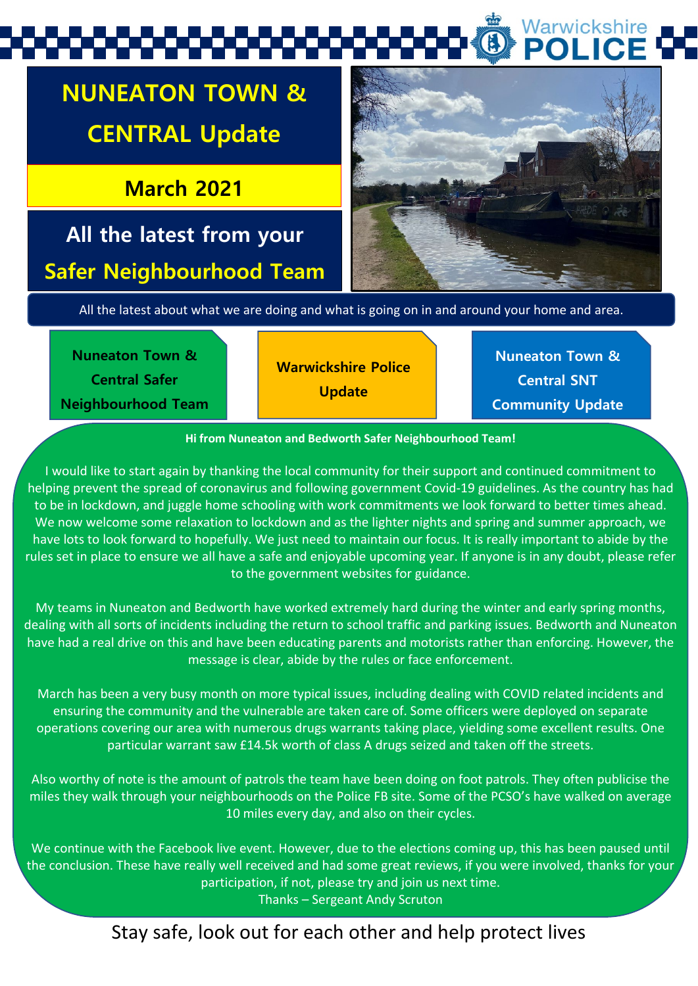# Warwickshire

## **NUNEATON TOWN & CENTRAL Update**

### **March 2021**

## **All the latest from your Safer Neighbourhood Team**



All the latest about what we are doing and what is going on in and around your home and area.

**Nuneaton Town & Central Safer Neighbourhood Team** 

**Warwickshire Police** 

**Update**

**Nuneaton Town & Central SNT Community Update**

**Hi from Nuneaton and Bedworth Safer Neighbourhood Team!**

I would like to start again by thanking the local community for their support and continued commitment to helping prevent the spread of coronavirus and following government Covid-19 guidelines. As the country has had to be in lockdown, and juggle home schooling with work commitments we look forward to better times ahead. We now welcome some relaxation to lockdown and as the lighter nights and spring and summer approach, we have lots to look forward to hopefully. We just need to maintain our focus. It is really important to abide by the rules set in place to ensure we all have a safe and enjoyable upcoming year. If anyone is in any doubt, please refer to the government websites for guidance.

My teams in Nuneaton and Bedworth have worked extremely hard during the winter and early spring months, dealing with all sorts of incidents including the return to school traffic and parking issues. Bedworth and Nuneaton have had a real drive on this and have been educating parents and motorists rather than enforcing. However, the message is clear, abide by the rules or face enforcement.

March has been a very busy month on more typical issues, including dealing with COVID related incidents and ensuring the community and the vulnerable are taken care of. Some officers were deployed on separate operations covering our area with numerous drugs warrants taking place, yielding some excellent results. One particular warrant saw £14.5k worth of class A drugs seized and taken off the streets.

Also worthy of note is the amount of patrols the team have been doing on foot patrols. They often publicise the miles they walk through your neighbourhoods on the Police FB site. Some of the PCSO's have walked on average 10 miles every day, and also on their cycles.

We continue with the Facebook live event. However, due to the elections coming up, this has been paused until the conclusion. These have really well received and had some great reviews, if you were involved, thanks for your participation, if not, please try and join us next time. Thanks – Sergeant Andy Scruton

Stay safe, look out for each other and help protect lives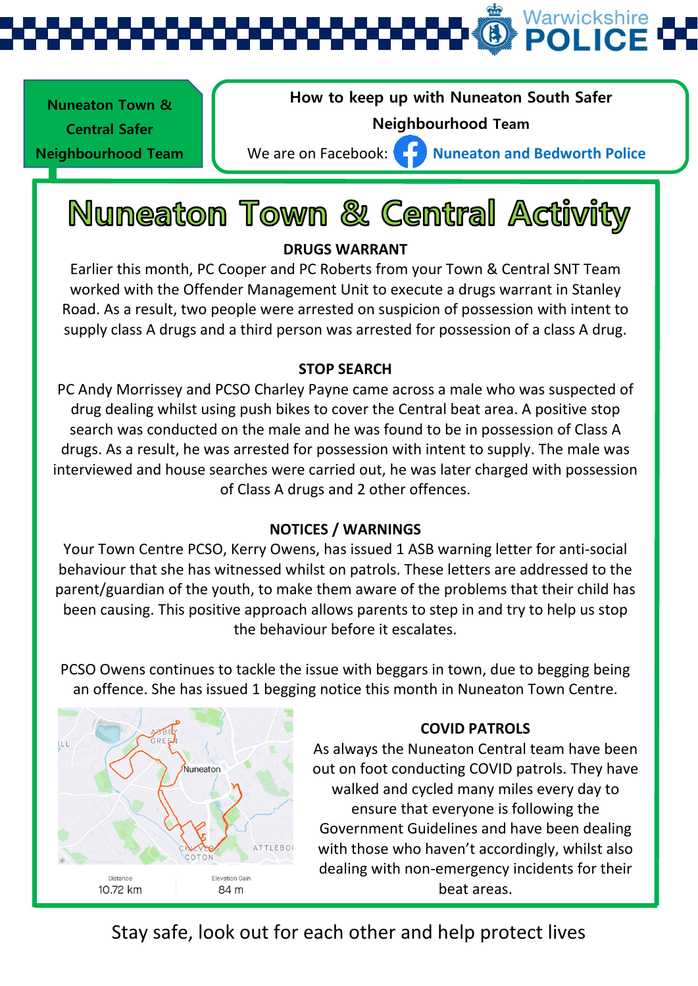Warwickshire

1 **Neighbourhood Team Nuneaton Town & Central Safer** 

**How to keep up with Nuneaton South Safer** 

### **Neighbourhood Team**

We are on Facebook: **Nuneaton and Bedworth Police** 

## **Nuneaton Town & Central Activity**

### **DRUGS WARRANT**

Earlier this month, PC Cooper and PC Roberts from your Town & Central SNT Team worked with the Offender Management Unit to execute a drugs warrant in Stanley Road. As a result, two people were arrested on suspicion of possession with intent to supply class A drugs and a third person was arrested for possession of a class A drug.

### **STOP SEARCH**

PC Andy Morrissey and PCSO Charley Payne came across a male who was suspected of drug dealing whilst using push bikes to cover the Central beat area. A positive stop search was conducted on the male and he was found to be in possession of Class A drugs. As a result, he was arrested for possession with intent to supply. The male was interviewed and house searches were carried out, he was later charged with possession of Class A drugs and 2 other offences.

### **NOTICES / WARNINGS**

Your Town Centre PCSO, Kerry Owens, has issued 1 ASB warning letter for anti-social behaviour that she has witnessed whilst on patrols. These letters are addressed to the parent/guardian of the youth, to make them aware of the problems that their child has been causing. This positive approach allows parents to step in and try to help us stop the behaviour before it escalates.

PCSO Owens continues to tackle the issue with beggars in town, due to begging being an offence. She has issued 1 begging notice this month in Nuneaton Town Centre.



### **COVID PATROLS**

As always the Nuneaton Central team have been out on foot conducting COVID patrols. They have walked and cycled many miles every day to ensure that everyone is following the Government Guidelines and have been dealing with those who haven't accordingly, whilst also dealing with non-emergency incidents for their beat areas.

Stay safe, look out for each other and help protect lives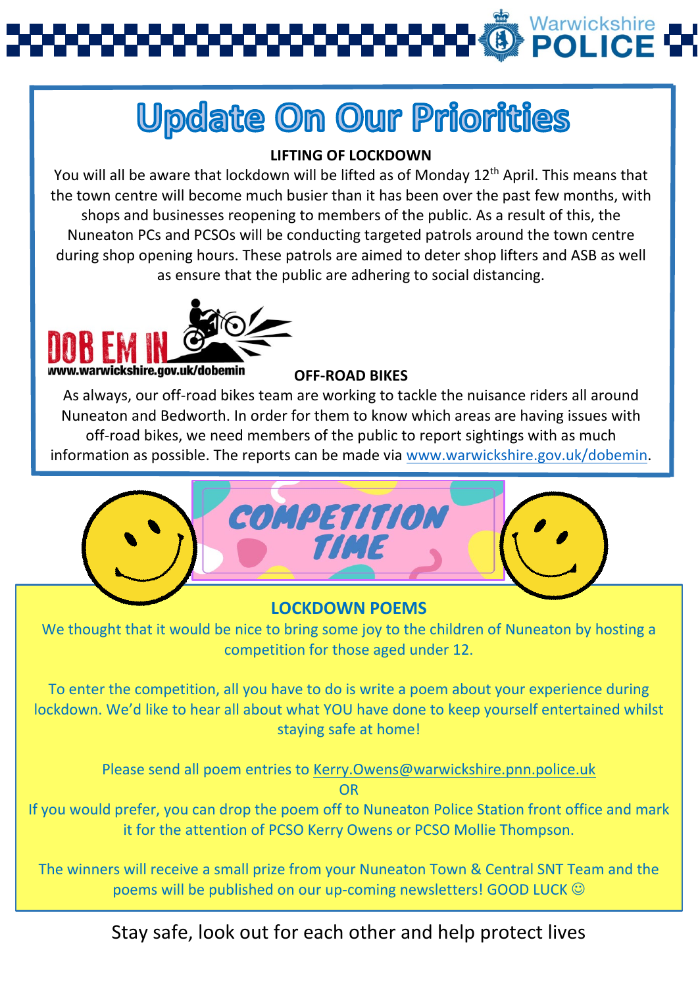## **Update On Our Priorities**

### **LIFTING OF LOCKDOWN**

You will all be aware that lockdown will be lifted as of Monday 12<sup>th</sup> April. This means that the town centre will become much busier than it has been over the past few months, with shops and businesses reopening to members of the public. As a result of this, the Nuneaton PCs and PCSOs will be conducting targeted patrols around the town centre during shop opening hours. These patrols are aimed to deter shop lifters and ASB as well as ensure that the public are adhering to social distancing.



### **OFF-ROAD BIKES**

As always, our off-road bikes team are working to tackle the nuisance riders all around Nuneaton and Bedworth. In order for them to know which areas are having issues with off-road bikes, we need members of the public to report sightings with as much information as possible. The reports can be made via [www.warwickshire.gov.uk/dobemin.](http://www.warwickshire.gov.uk/dobemin)



### **LOCKDOWN POEMS**

We thought that it would be nice to bring some joy to the children of Nuneaton by hosting a competition for those aged under 12.

To enter the competition, all you have to do is write a poem about your experience during lockdown. We'd like to hear all about what YOU have done to keep yourself entertained whilst staying safe at home!

> Please send all poem entries to [Kerry.Owens@warwickshire.pnn.police.uk](mailto:Kerry.Owens@warwickshire.pnn.police.uk) OR

If you would prefer, you can drop the poem off to Nuneaton Police Station front office and mark it for the attention of PCSO Kerry Owens or PCSO Mollie Thompson.

The winners will receive a small prize from your Nuneaton Town & Central SNT Team and the poems will be published on our up-coming newsletters! GOOD LUCK

Stay safe, look out for each other and help protect lives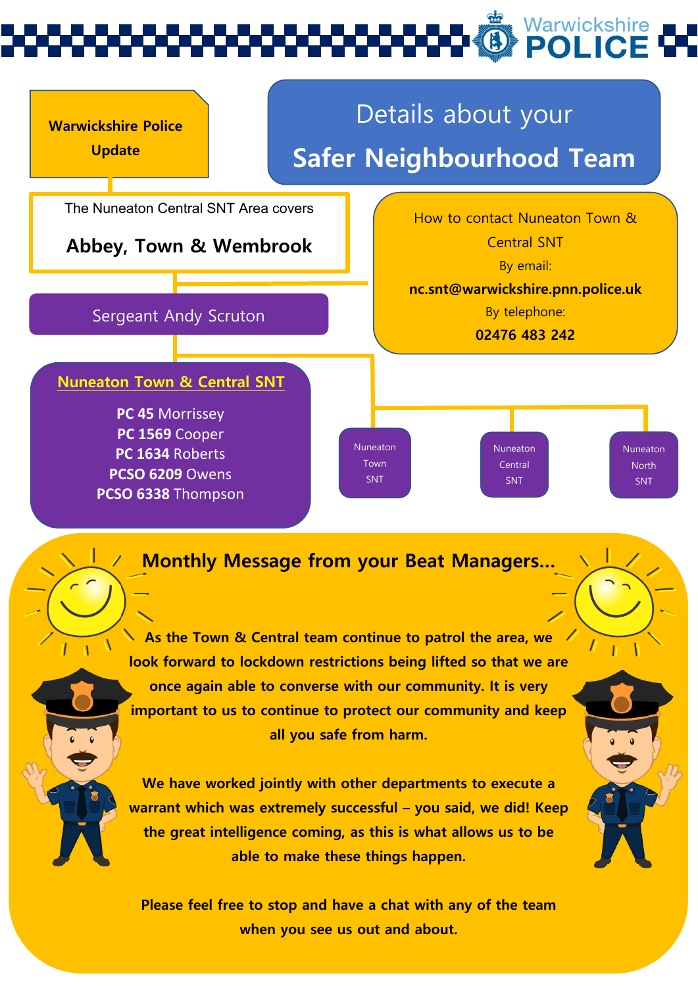

### **[M](https://www.google.com/url?sa=i&url=http://www.clker.com/clipart-cartoon-sun.html&psig=AOvVaw3sEoGa2Mi2qebvkYX8QkLm&ust=1617107751634000&source=images&cd=vfe&ved=0CAIQjRxqFwoTCLCQtPzB1e8CFQAAAAAdAAAAABAf)onthly Message from your Beat Managers[…](https://www.google.com/url?sa=i&url=http://www.clker.com/clipart-cartoon-sun.html&psig=AOvVaw3sEoGa2Mi2qebvkYX8QkLm&ust=1617107751634000&source=images&cd=vfe&ved=0CAIQjRxqFwoTCLCQtPzB1e8CFQAAAAAdAAAAABAf)**

**As the Town & Central team continue to patrol the area, we look forward to lockdown restrictions being lifted so that we are once again able to converse with our community. It is very important to us to continue to protect our community and keep all you safe from harm.**

**We have worked jointly with other departments to execute a [wa](https://www.google.com/url?sa=i&url=https://www.pinterest.com/pin/428756827005481000/&psig=AOvVaw0Bjnt2MRvShEGdOI1I-c8R&ust=1617107289269000&source=images&cd=vfe&ved=0CAIQjRxqFwoTCNDb4KbA1e8CFQAAAAAdAAAAABAD)rrant which was extremely successful – you said, we did! Ke[ep](https://www.google.com/url?sa=i&url=https://www.pinterest.com/pin/428756827005481000/&psig=AOvVaw0Bjnt2MRvShEGdOI1I-c8R&ust=1617107289269000&source=images&cd=vfe&ved=0CAIQjRxqFwoTCNDb4KbA1e8CFQAAAAAdAAAAABAD)  the great intelligence coming, as this is what allows us to be able to make these things happen.**

Stay safe, look out for each out for each out for each other and help protect lives in the second lives of the<br> **when you see us out and about. Please feel free to stop and have a chat with any of the team**